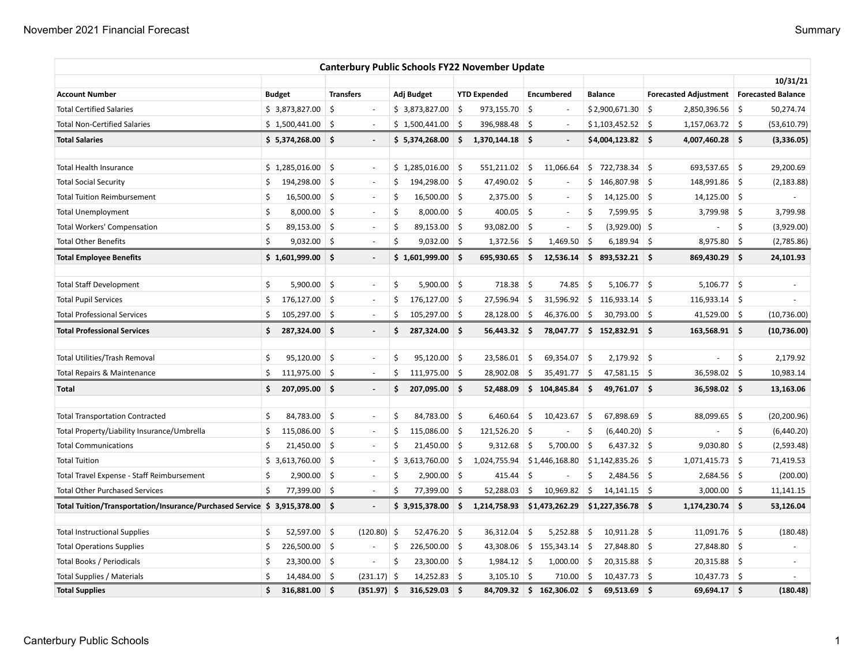|                                                                             |    |                    |     |                          |    |                 |                    | <b>Canterbury Public Schools FY22 November Update</b> |            |                          |     |                    |         |                                            |            |              |
|-----------------------------------------------------------------------------|----|--------------------|-----|--------------------------|----|-----------------|--------------------|-------------------------------------------------------|------------|--------------------------|-----|--------------------|---------|--------------------------------------------|------------|--------------|
|                                                                             |    |                    |     |                          |    |                 |                    |                                                       |            |                          |     |                    |         |                                            | 10/31/21   |              |
| <b>Account Number</b>                                                       |    | <b>Budget</b>      |     | <b>Transfers</b>         |    | Adj Budget      |                    | <b>YTD Expended</b>                                   |            | <b>Encumbered</b>        |     | <b>Balance</b>     |         | Forecasted Adjustment   Forecasted Balance |            |              |
| <b>Total Certified Salaries</b>                                             |    | \$3,873,827.00     | \$  | $\overline{\phantom{a}}$ |    | \$3,873,827.00  | \$                 | 973,155.70                                            | \$         | $\overline{\phantom{a}}$ |     | \$2,900,671.30     | \$      | 2,850,396.56                               | 5 ا        | 50,274.74    |
| <b>Total Non-Certified Salaries</b>                                         |    | \$1,500,441.00     | Ŝ.  | $\overline{\phantom{a}}$ |    | \$1,500,441.00  | -\$                | 396,988.48                                            | Ś.         |                          |     | \$1,103,452.52     | -\$     | $1,157,063.72$ \$                          |            | (53,610.79)  |
| <b>Total Salaries</b>                                                       |    | $$5,374,268.00$ \$ |     | $\overline{\phantom{a}}$ |    | \$5,374,268.00  | \$ا                | 1,370,144.18 \$                                       |            | $\overline{\phantom{a}}$ |     | $$4,004,123.82$ \$ |         | 4,007,460.28 \$                            |            | (3,336.05)   |
| <b>Total Health Insurance</b>                                               |    | \$1,285,016.00     | \$  | $\overline{\phantom{a}}$ |    | \$1,285,016.00  | \$                 | 551,211.02                                            | \$         | 11,066.64                |     | \$722,738.34       | $\zeta$ | 693,537.65                                 | ∣\$        | 29,200.69    |
| <b>Total Social Security</b>                                                | \$ | 194,298.00         | -\$ | $\sim$                   | Ś  | 194,298.00 \$   |                    | 47,490.02 \$                                          |            | $\overline{\phantom{a}}$ |     | \$146,807.98       |         | 148,991.86                                 | $\vert$ \$ | (2, 183.88)  |
| <b>Total Tuition Reimbursement</b>                                          | Ś  | 16,500.00          | ∣\$ | $\overline{\phantom{a}}$ | Ś  | $16,500.00$ \$  |                    | $2,375.00$ \$                                         |            | $\overline{\phantom{a}}$ | \$  | $14,125.00$ \$     |         | $14,125.00$ \$                             |            |              |
| <b>Total Unemployment</b>                                                   | Ś  | 8,000.00           | 5   | $\sim$                   | \$ | $8,000.00$ \$   |                    | 400.05                                                | -\$        | $\sim$                   | Ś   | 7,599.95 \$        |         | 3,799.98                                   | ا \$       | 3,799.98     |
| <b>Total Workers' Compensation</b>                                          | Ś  | 89,153.00          | -\$ | J.                       | \$ | 89,153.00 \$    |                    | 93,082.00                                             | $\vert$ \$ |                          | Ś   | $(3,929.00)$ \$    |         |                                            | \$         | (3,929.00)   |
| <b>Total Other Benefits</b>                                                 | Ś  | 9,032.00           | -\$ | ÷,                       | Ś. | $9,032.00$ \$   |                    | 1,372.56                                              | \$.        | 1,469.50                 | -\$ | $6,189.94$ \$      |         | 8,975.80                                   | \$         | (2,785.86)   |
| <b>Total Employee Benefits</b>                                              |    | \$1,601,999.00     | \$. | $\blacksquare$           |    | \$1,601,999.00  | \$.                | 695,930.65                                            | \$.        | 12,536.14                |     | $$893,532.21$ \$   |         | 869,430.29                                 | ∣\$        | 24,101.93    |
| <b>Total Staff Development</b>                                              | \$ | 5,900.00           | \$  | $\sim$                   | \$ | $5,900.00$ \$   |                    | 718.38                                                | \$         | 74.85                    | \$  | $5,106.77$ \$      |         | $5,106.77$ \$                              |            | $\bar{a}$    |
| <b>Total Pupil Services</b>                                                 | \$ | 176,127.00         | \$  | $\sim$                   | \$ | 176,127.00      | \$                 | 27,596.94                                             | \$         | 31,596.92                | \$  | 116,933.14         | -\$     | 116,933.14                                 | 5          |              |
| <b>Total Professional Services</b>                                          | Ś  | 105,297.00         | \$  | $\overline{\phantom{a}}$ | \$ | 105,297.00      | \$                 | 28,128.00                                             | \$.        | 46,376.00                | \$  | $30,793.00$ \$     |         | 41,529.00                                  | ∣\$        | (10, 736.00) |
| <b>Total Professional Services</b>                                          | \$ | 287,324.00         | -\$ | $\overline{\phantom{a}}$ | \$ | 287,324.00 \$   |                    | 56,443.32                                             | \$.        | 78,047.77                |     | $$152,832.91$ \$   |         | $163,568.91$ \$                            |            | (10,736.00)  |
| <b>Total Utilities/Trash Removal</b>                                        | \$ | 95,120.00          | \$  | $\overline{\phantom{a}}$ | \$ | $95,120.00$ \$  |                    | 23,586.01                                             | \$         | 69,354.07                | -\$ | $2,179.92$ \$      |         |                                            | \$         | 2,179.92     |
| Total Repairs & Maintenance                                                 | \$ | 111,975.00         | -\$ | $\overline{\phantom{a}}$ | \$ | $111,975.00$ \$ |                    | 28,902.08                                             | \$         | 35,491.77                | -\$ | $47,581.15$ \$     |         | 36,598.02                                  | ∣\$        | 10,983.14    |
| Total                                                                       | \$ | 207,095.00         | Ŝ.  | $\blacksquare$           | \$ | 207,095.00 \$   |                    | 52,488.09                                             |            | \$104,845.84             | Ŝ.  | 49,761.07 \$       |         | 36,598.02 \$                               |            | 13,163.06    |
| <b>Total Transportation Contracted</b>                                      | Ś  | 84,783.00          | \$  | $\sim$                   | \$ | 84,783.00 \$    |                    | 6,460.64                                              | \$         | 10,423.67                | \$  | $67,898.69$ \$     |         | 88,099.65                                  | -\$        | (20, 200.96) |
| Total Property/Liability Insurance/Umbrella                                 | Ś  | 115,086.00         | \$  | $\sim$                   | \$ | 115,086.00      | -\$                | 121,526.20                                            | -\$        |                          | \$  | $(6,440.20)$ \$    |         |                                            | \$         | (6,440.20)   |
| <b>Total Communications</b>                                                 | \$ | 21,450.00          | \$  | $\sim$                   | \$ | $21,450.00$ \$  |                    | 9,312.68                                              | \$         | 5,700.00                 | \$  | $6,437.32$ \$      |         | 9,030.80                                   | 5          | (2,593.48)   |
| <b>Total Tuition</b>                                                        |    | \$3,613,760.00     | \$  | $\sim$                   |    | \$3,613,760.00  | \$                 | 1,024,755.94                                          |            | \$1,446,168.80           |     | $$1,142,835.26$ \$ |         | 1,071,415.73                               | $\vert$ \$ | 71,419.53    |
| Total Travel Expense - Staff Reimbursement                                  | \$ | 2,900.00           | \$  | $\overline{\phantom{a}}$ | \$ | 2,900.00        | \$                 | 415.44                                                | \$         |                          | \$  | 2,484.56 \$        |         | $2,684.56$ \$                              |            | (200.00)     |
| <b>Total Other Purchased Services</b>                                       | \$ | 77,399.00          | -\$ | $\sim$                   | Ś  | 77,399.00       | -\$                | 52,288.03                                             | \$         | 10,969.82                | \$  | $14,141.15$ \$     |         | $3,000.00$ \$                              |            | 11,141.15    |
| Total Tuition/Transportation/Insurance/Purchased Service \$ 3,915,378.00 \$ |    |                    |     | $\overline{\phantom{a}}$ |    | \$3,915,378.00  | \$                 | 1,214,758.93                                          |            | \$1,473,262.29           |     | $$1,227,356.78$ \$ |         | 1,174,230.74 \$                            |            | 53,126.04    |
| <b>Total Instructional Supplies</b>                                         | \$ | 52,597.00          | \$  | $(120.80)$ \$            |    | 52,476.20 \$    |                    | 36,312.04                                             | \$         | 5,252.88                 | \$  | $10,911.28$ \$     |         | 11,091.76                                  | ∣\$        | (180.48)     |
| <b>Total Operations Supplies</b>                                            | \$ | 226,500.00         | \$  |                          | \$ | 226,500.00      | $\ddot{\varsigma}$ | 43,308.06                                             |            | \$155,343.14             | \$  | 27,848.80 \$       |         | 27,848.80                                  | \$         |              |
| Total Books / Periodicals                                                   | Ś  | 23,300.00          | \$  | ÷,                       | \$ | 23,300.00       | \$                 | 1,984.12                                              | \$         | 1,000.00                 | \$  | $20,315.88$ \$     |         | 20,315.88                                  | 5 ا        |              |
| Total Supplies / Materials                                                  | Ś  | 14,484.00          | -\$ | $(231.17)$ \$            |    | $14,252.83$ \$  |                    | $3,105.10$ \$                                         |            | 710.00                   | -\$ | $10,437.73$ \$     |         | $10,437.73$ \$                             |            |              |
| <b>Total Supplies</b>                                                       | \$ | 316,881.00         | \$. | (351.97) \$              |    | 316,529.03      | Ŝ.                 | 84,709.32                                             |            | \$162,306.02             | Ŝ.  | $69,513.69$ \$     |         | 69,694.17 \$                               |            | (180.48)     |